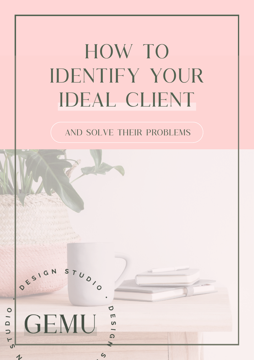# HOW TO identify your ideal client

### AND SOLVE THEIR PROBLEMS

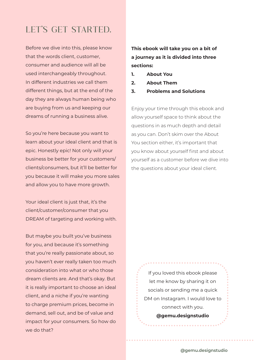### Let's get Started.

Before we dive into this, please know that the words client, customer, consumer and audience will all be used interchangeably throughout. In different industries we call them different things, but at the end of the day they are always human being who are buying from us and keeping our dreams of running a business alive.

So you're here because you want to learn about your ideal client and that is epic. Honestly epic! Not only will your business be better for your customers/ clients/consumers, but it'll be better for you because it will make you more sales and allow you to have more growth.

Your ideal client is just that, it's the client/customer/consumer that you DREAM of targeting and working with.

But maybe you built you've business for you, and because it's something that you're really passionate about, so you haven't ever really taken too much consideration into what or who those dream clients are. And that's okay. But it is really important to choose an ideal client, and a niche if you're wanting to charge premium prices, become in demand, sell out, and be of value and impact for your consumers. So how do we do that?

#### **This ebook will take you on a bit of a journey as it is divided into three sections:**

- **1. About You**
- **2. About Them**
- **3. Problems and Solutions**

Enjoy your time through this ebook and allow yourself space to think about the questions in as much depth and detail as you can. Don't skim over the About You section either, it's important that you know about yourself first and about yourself as a customer before we dive into the questions about your ideal client.

> If you loved this ebook please let me know by sharing it on socials or sending me a quick DM on Instagram. I would love to connect with you. **@gemu.designstudio**

> > **2 | IDEAL CLIENT @gemu.designstudio**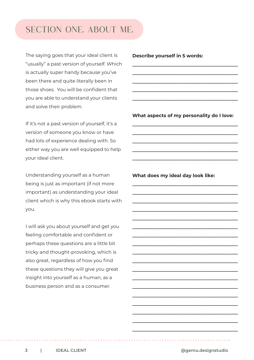### Section one. About me.

The saying goes that your ideal client is "usually" a past version of yourself. Which is actually super handy because you've been there and quite literally been in those shoes. You will be confident that you are able to understand your clients and solve their problem.

If it's not a past version of yourself, it's a version of someone you know or have had lots of experience dealing with. So either way you are well equipped to help your ideal client.

Understanding yourself as a human being is just as important (if not more important) as understanding your ideal client which is why this ebook starts with you.

I will ask you about yourself and get you feeling comfortable and confident or perhaps these questions are a little bit tricky and thought-provoking, which is also great, regardless of how you find these questions they will give you great insight into yourself as a human, as a business person and as a consumer.

**Describe yourself in 5 words:**

**What aspects of my personality do I love:**

**\_\_\_\_\_\_\_\_\_\_\_\_\_\_\_\_\_\_\_\_\_\_\_\_\_\_\_\_\_\_\_\_\_\_\_\_\_\_\_\_\_\_\_\_\_ \_\_\_\_\_\_\_\_\_\_\_\_\_\_\_\_\_\_\_\_\_\_\_\_\_\_\_\_\_\_\_\_\_\_\_\_\_\_\_\_\_\_\_\_\_ \_\_\_\_\_\_\_\_\_\_\_\_\_\_\_\_\_\_\_\_\_\_\_\_\_\_\_\_\_\_\_\_\_\_\_\_\_\_\_\_\_\_\_\_\_ \_\_\_\_\_\_\_\_\_\_\_\_\_\_\_\_\_\_\_\_\_\_\_\_\_\_\_\_\_\_\_\_\_\_\_\_\_\_\_\_\_\_\_\_\_ \_\_\_\_\_\_\_\_\_\_\_\_\_\_\_\_\_\_\_\_\_\_\_\_\_\_\_\_\_\_\_\_\_\_\_\_\_\_\_\_\_\_\_\_\_**

**\_\_\_\_\_\_\_\_\_\_\_\_\_\_\_\_\_\_\_\_\_\_\_\_\_\_\_\_\_\_\_\_\_\_\_\_\_\_\_\_\_\_\_\_\_ \_\_\_\_\_\_\_\_\_\_\_\_\_\_\_\_\_\_\_\_\_\_\_\_\_\_\_\_\_\_\_\_\_\_\_\_\_\_\_\_\_\_\_\_\_ \_\_\_\_\_\_\_\_\_\_\_\_\_\_\_\_\_\_\_\_\_\_\_\_\_\_\_\_\_\_\_\_\_\_\_\_\_\_\_\_\_\_\_\_\_**

**\_\_\_\_\_\_\_\_\_\_\_\_\_\_\_\_\_\_\_\_\_\_\_\_\_\_\_\_\_\_\_\_\_\_\_\_\_\_\_\_\_\_\_\_\_** 

**\_\_\_\_\_\_\_\_\_\_\_\_\_\_\_\_\_\_\_\_\_\_\_\_\_\_\_\_\_\_\_\_\_\_\_\_\_\_\_\_\_\_\_\_\_ \_\_\_\_\_\_\_\_\_\_\_\_\_\_\_\_\_\_\_\_\_\_\_\_\_\_\_\_\_\_\_\_\_\_\_\_\_\_\_\_\_\_\_\_\_ \_\_\_\_\_\_\_\_\_\_\_\_\_\_\_\_\_\_\_\_\_\_\_\_\_\_\_\_\_\_\_\_\_\_\_\_\_\_\_\_\_\_\_\_\_ \_\_\_\_\_\_\_\_\_\_\_\_\_\_\_\_\_\_\_\_\_\_\_\_\_\_\_\_\_\_\_\_\_\_\_\_\_\_\_\_\_\_\_\_\_ \_\_\_\_\_\_\_\_\_\_\_\_\_\_\_\_\_\_\_\_\_\_\_\_\_\_\_\_\_\_\_\_\_\_\_\_\_\_\_\_\_\_\_\_\_ \_\_\_\_\_\_\_\_\_\_\_\_\_\_\_\_\_\_\_\_\_\_\_\_\_\_\_\_\_\_\_\_\_\_\_\_\_\_\_\_\_\_\_\_\_ \_\_\_\_\_\_\_\_\_\_\_\_\_\_\_\_\_\_\_\_\_\_\_\_\_\_\_\_\_\_\_\_\_\_\_\_\_\_\_\_\_\_\_\_\_ \_\_\_\_\_\_\_\_\_\_\_\_\_\_\_\_\_\_\_\_\_\_\_\_\_\_\_\_\_\_\_\_\_\_\_\_\_\_\_\_\_\_\_\_\_ \_\_\_\_\_\_\_\_\_\_\_\_\_\_\_\_\_\_\_\_\_\_\_\_\_\_\_\_\_\_\_\_\_\_\_\_\_\_\_\_\_\_\_\_\_ \_\_\_\_\_\_\_\_\_\_\_\_\_\_\_\_\_\_\_\_\_\_\_\_\_\_\_\_\_\_\_\_\_\_\_\_\_\_\_\_\_\_\_\_\_ \_\_\_\_\_\_\_\_\_\_\_\_\_\_\_\_\_\_\_\_\_\_\_\_\_\_\_\_\_\_\_\_\_\_\_\_\_\_\_\_\_\_\_\_\_ \_\_\_\_\_\_\_\_\_\_\_\_\_\_\_\_\_\_\_\_\_\_\_\_\_\_\_\_\_\_\_\_\_\_\_\_\_\_\_\_\_\_\_\_\_ \_\_\_\_\_\_\_\_\_\_\_\_\_\_\_\_\_\_\_\_\_\_\_\_\_\_\_\_\_\_\_\_\_\_\_\_\_\_\_\_\_\_\_\_\_ \_\_\_\_\_\_\_\_\_\_\_\_\_\_\_\_\_\_\_\_\_\_\_\_\_\_\_\_\_\_\_\_\_\_\_\_\_\_\_\_\_\_\_\_\_**

**\_\_\_\_\_\_\_\_\_\_\_\_\_\_\_\_\_\_\_\_\_\_\_\_\_\_\_\_\_\_\_\_\_\_\_\_\_\_\_\_\_\_\_\_\_**

**\_\_\_\_\_\_\_\_\_\_\_\_\_\_\_\_\_\_\_\_\_\_\_\_\_\_\_\_\_\_\_\_\_\_\_\_\_\_\_\_\_\_\_\_\_ \_\_\_\_\_\_\_\_\_\_\_\_\_\_\_\_\_\_\_\_\_\_\_\_\_\_\_\_\_\_\_\_\_\_\_\_\_\_\_\_\_\_\_\_\_ \_\_\_\_\_\_\_\_\_\_\_\_\_\_\_\_\_\_\_\_\_\_\_\_\_\_\_\_\_\_\_\_\_\_\_\_\_\_\_\_\_\_\_\_\_ \_\_\_\_\_\_\_\_\_\_\_\_\_\_\_\_\_\_\_\_\_\_\_\_\_\_\_\_\_\_\_\_\_\_\_\_\_\_\_\_\_\_\_\_\_** 

**What does my ideal day look like:**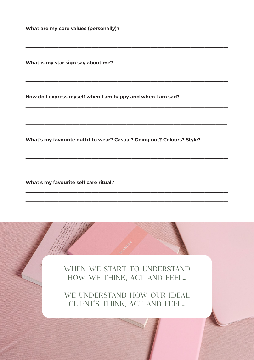What are my core values (personally)?

What is my star sign say about me?

How do I express myself when I am happy and when I am sad?

What's my favourite outfit to wear? Casual? Going out? Colours? Style?

What's my favourite self care ritual?

WHEN WE START TO UNDERSTAND HOW WE THINK, ACT AND FEEL...

WE UNDERSTAND HOW OUR IDEAL CLIENT'S THINK, ACT AND FEEL...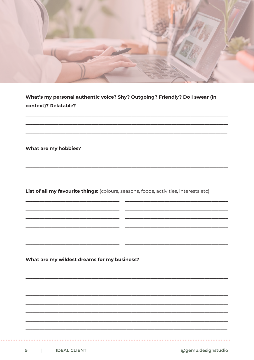

What's my personal authentic voice? Shy? Outgoing? Friendly? Do I swear (in context)? Relatable?

What are my hobbies?

List of all my favourite things: (colours, seasons, foods, activities, interests etc)

What are my wildest dreams for my business?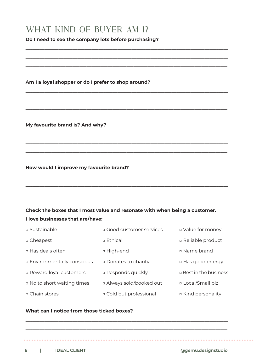### What kind of buyer am I?

#### **Do I need to see the company lots before purchasing?**

**\_\_\_\_\_\_\_\_\_\_\_\_\_\_\_\_\_\_\_\_\_\_\_\_\_\_\_\_\_\_\_\_\_\_\_\_\_\_\_\_\_\_\_\_\_\_\_\_\_\_\_\_\_\_\_\_\_\_\_\_\_\_\_\_\_\_\_\_\_\_\_\_\_\_\_\_\_\_\_\_\_\_\_\_\_\_ \_\_\_\_\_\_\_\_\_\_\_\_\_\_\_\_\_\_\_\_\_\_\_\_\_\_\_\_\_\_\_\_\_\_\_\_\_\_\_\_\_\_\_\_\_\_\_\_\_\_\_\_\_\_\_\_\_\_\_\_\_\_\_\_\_\_\_\_\_\_\_\_\_\_\_\_\_\_\_\_\_\_\_\_\_\_**

**\_\_\_\_\_\_\_\_\_\_\_\_\_\_\_\_\_\_\_\_\_\_\_\_\_\_\_\_\_\_\_\_\_\_\_\_\_\_\_\_\_\_\_\_\_\_\_\_\_\_\_\_\_\_\_\_\_\_\_\_\_\_\_\_\_\_\_\_\_\_\_\_\_\_\_\_\_\_\_\_\_\_\_\_\_\_**

**\_\_\_\_\_\_\_\_\_\_\_\_\_\_\_\_\_\_\_\_\_\_\_\_\_\_\_\_\_\_\_\_\_\_\_\_\_\_\_\_\_\_\_\_\_\_\_\_\_\_\_\_\_\_\_\_\_\_\_\_\_\_\_\_\_\_\_\_\_\_\_\_\_\_\_\_\_\_\_\_\_\_\_\_\_\_ \_\_\_\_\_\_\_\_\_\_\_\_\_\_\_\_\_\_\_\_\_\_\_\_\_\_\_\_\_\_\_\_\_\_\_\_\_\_\_\_\_\_\_\_\_\_\_\_\_\_\_\_\_\_\_\_\_\_\_\_\_\_\_\_\_\_\_\_\_\_\_\_\_\_\_\_\_\_\_\_\_\_\_\_\_\_**

**\_\_\_\_\_\_\_\_\_\_\_\_\_\_\_\_\_\_\_\_\_\_\_\_\_\_\_\_\_\_\_\_\_\_\_\_\_\_\_\_\_\_\_\_\_\_\_\_\_\_\_\_\_\_\_\_\_\_\_\_\_\_\_\_\_\_\_\_\_\_\_\_\_\_\_\_\_\_\_\_\_\_\_\_\_\_**

**\_\_\_\_\_\_\_\_\_\_\_\_\_\_\_\_\_\_\_\_\_\_\_\_\_\_\_\_\_\_\_\_\_\_\_\_\_\_\_\_\_\_\_\_\_\_\_\_\_\_\_\_\_\_\_\_\_\_\_\_\_\_\_\_\_\_\_\_\_\_\_\_\_\_\_\_\_\_\_\_\_\_\_\_\_\_ \_\_\_\_\_\_\_\_\_\_\_\_\_\_\_\_\_\_\_\_\_\_\_\_\_\_\_\_\_\_\_\_\_\_\_\_\_\_\_\_\_\_\_\_\_\_\_\_\_\_\_\_\_\_\_\_\_\_\_\_\_\_\_\_\_\_\_\_\_\_\_\_\_\_\_\_\_\_\_\_\_\_\_\_\_\_**

**\_\_\_\_\_\_\_\_\_\_\_\_\_\_\_\_\_\_\_\_\_\_\_\_\_\_\_\_\_\_\_\_\_\_\_\_\_\_\_\_\_\_\_\_\_\_\_\_\_\_\_\_\_\_\_\_\_\_\_\_\_\_\_\_\_\_\_\_\_\_\_\_\_\_\_\_\_\_\_\_\_\_\_\_\_\_**

**\_\_\_\_\_\_\_\_\_\_\_\_\_\_\_\_\_\_\_\_\_\_\_\_\_\_\_\_\_\_\_\_\_\_\_\_\_\_\_\_\_\_\_\_\_\_\_\_\_\_\_\_\_\_\_\_\_\_\_\_\_\_\_\_\_\_\_\_\_\_\_\_\_\_\_\_\_\_\_\_\_\_\_\_\_\_ \_\_\_\_\_\_\_\_\_\_\_\_\_\_\_\_\_\_\_\_\_\_\_\_\_\_\_\_\_\_\_\_\_\_\_\_\_\_\_\_\_\_\_\_\_\_\_\_\_\_\_\_\_\_\_\_\_\_\_\_\_\_\_\_\_\_\_\_\_\_\_\_\_\_\_\_\_\_\_\_\_\_\_\_\_\_**

**\_\_\_\_\_\_\_\_\_\_\_\_\_\_\_\_\_\_\_\_\_\_\_\_\_\_\_\_\_\_\_\_\_\_\_\_\_\_\_\_\_\_\_\_\_\_\_\_\_\_\_\_\_\_\_\_\_\_\_\_\_\_\_\_\_\_\_\_\_\_\_\_\_\_\_\_\_\_\_\_\_\_\_\_\_\_**

**Am I a loyal shopper or do I prefer to shop around?**

**My favourite brand is? And why?**

#### **How would I improve my favourite brand?**

#### **Check the boxes that I most value and resonate with when being a customer. I love businesses that are/have:**

| □ Sustainable                    | <b>QOOD CUSTOMER SERVICES</b> | ¤ Value for money             |
|----------------------------------|-------------------------------|-------------------------------|
| □ Cheapest                       | □ Ethical                     | □ Reliable product            |
| □ Has deals often                | □ High-end                    | □ Name brand                  |
| <b>Environmentally conscious</b> | <b>Donates to charity</b>     | ¤ Has good energy             |
| <b>E</b> Reward loyal customers  | □ Responds quickly            | <b>E</b> Best in the business |
| □ No to short waiting times      | □ Always sold/booked out      | □ Local/Small biz             |
| □ Chain stores                   | ¤ Cold but professional       | ¤ Kind personality            |

**\_\_\_\_\_\_\_\_\_\_\_\_\_\_\_\_\_\_\_\_\_\_\_\_\_\_\_\_\_\_\_\_\_\_\_\_\_\_\_\_\_\_\_\_\_\_\_\_\_\_\_\_\_\_\_\_\_\_\_\_\_\_\_\_\_\_\_\_\_\_\_\_\_\_\_\_\_\_\_\_\_\_\_\_\_\_**

**\_\_\_\_\_\_\_\_\_\_\_\_\_\_\_\_\_\_\_\_\_\_\_\_\_\_\_\_\_\_\_\_\_\_\_\_\_\_\_\_\_\_\_\_\_\_\_\_\_\_\_\_\_\_\_\_\_\_\_\_\_\_\_\_\_\_\_\_\_\_\_\_\_\_\_\_\_\_\_\_\_\_\_\_\_\_**

#### **What can I notice from those ticked boxes?**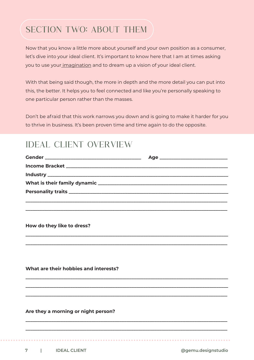# SECTION TWO: ABOUT THEM

Now that you know a little more about yourself and your own position as a consumer, let's dive into your ideal client. It's important to know here that I am at times asking you to use your imagination and to dream up a vision of your ideal client.

With that being said though, the more in depth and the more detail you can put into this, the better. It helps you to feel connected and like you're personally speaking to one particular person rather than the masses.

Don't be afraid that this work narrows you down and is going to make it harder for you to thrive in business. It's been proven time and time again to do the opposite.

### IDEAL CLIENT OVER VIEW

| How do they like to dress?            |  |
|---------------------------------------|--|
|                                       |  |
| What are their hobbies and interests? |  |
|                                       |  |
| Are they a morning or night person?   |  |
|                                       |  |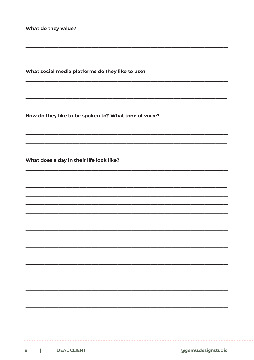What do they value?

What social media platforms do they like to use?

How do they like to be spoken to? What tone of voice?

What does a day in their life look like?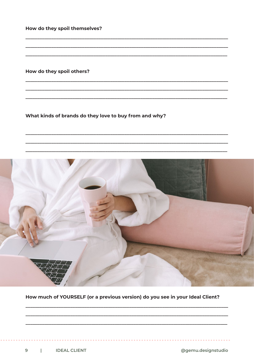How do they spoil themselves?

How do they spoil others?

What kinds of brands do they love to buy from and why?



How much of YOURSELF (or a previous version) do you see in your Ideal Client?

@gemu.designstudio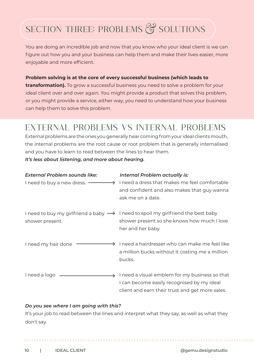# SECTION THREE: PROBLEMS & SOLUTIONS

You are doing an incredible job and now that you know who your ideal client is we can figure out how you and your business can help them and make their lives easier, more enjoyable and more efficient.

#### **Problem solving is at the core of every successful business (which leads to**

**transformation).** To grow a successful business you need to solve a problem for your ideal client over and over again. You might provide a product that solves this problem, or you might provide a service, either way, you need to understand how your business can help them to solve this problem.

# External Problems vs Internal Problems

External problems are the ones you generally hear coming from your ideal clients mouth, the internal problems are the root cause or root problem that is generally internalised and you have to learn to read between the lines to hear them.

*It's less about listening, and more about hearing.* 

| <b>External Problem sounds like:</b>            | <b>Internal Problem actually is:</b>                                                         |
|-------------------------------------------------|----------------------------------------------------------------------------------------------|
| I need to buy a new dress. $-$<br>$\rightarrow$ | I need a dress that makes me feel comfortable                                                |
|                                                 | and confident and also makes that guy wanna                                                  |
|                                                 | ask me on a date.                                                                            |
|                                                 | I need to buy my girlfriend a baby $\rightarrow$ I need to spoil my girlfriend the best baby |
| shower present.                                 | shower present so she knows how much I love                                                  |
|                                                 | her and her baby.                                                                            |
| I need my hair done                             | I need a hairdresser who can make me feel like                                               |
|                                                 | a million bucks without it costing me a million                                              |
|                                                 | bucks.                                                                                       |
| I need a logo                                   | I need a visual emblem for my business so that                                               |
|                                                 |                                                                                              |
|                                                 | I can become easily recognised by my ideal                                                   |
|                                                 | client and earn their trust and get more sales.                                              |

#### *Do you see where I am going with this?*

It's your job to read between the lines and interpret what they say, as well as what they don't say.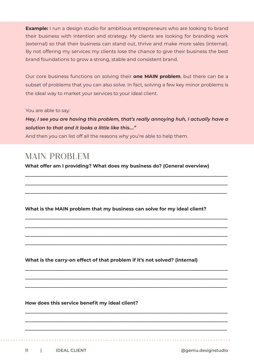**Example:** I run a design studio for ambitious entrepreneurs who are looking to brand their business with intention and strategy. My clients are looking for branding work (external) so that their business can stand out, thrive and make more sales (internal). By not offering my services my clients lose the chance to give their business the best brand foundations to grow a strong, stable and consistent brand.

Our core business functions on solving their **one MAIN problem**, but there can be a subset of problems that you can also solve. In fact, solving a few key minor problems is the ideal way to market your services to your ideal client.

You are able to say:

*Hey, I see you are having this problem, that's really annoying huh, I actually have a solution to that and it looks a little like this...."*

And then you can list off all the reasons why you're able to help them.

### MAIN PROBLEM

**What offer am I providing? What does my business do? (General overview)**

**\_\_\_\_\_\_\_\_\_\_\_\_\_\_\_\_\_\_\_\_\_\_\_\_\_\_\_\_\_\_\_\_\_\_\_\_\_\_\_\_\_\_\_\_\_\_\_\_\_\_\_\_\_\_\_\_\_\_\_\_\_\_\_\_\_\_\_\_\_\_\_\_\_\_\_\_\_\_\_\_\_\_\_\_\_\_ \_\_\_\_\_\_\_\_\_\_\_\_\_\_\_\_\_\_\_\_\_\_\_\_\_\_\_\_\_\_\_\_\_\_\_\_\_\_\_\_\_\_\_\_\_\_\_\_\_\_\_\_\_\_\_\_\_\_\_\_\_\_\_\_\_\_\_\_\_\_\_\_\_\_\_\_\_\_\_\_\_\_\_\_\_\_**

**\_\_\_\_\_\_\_\_\_\_\_\_\_\_\_\_\_\_\_\_\_\_\_\_\_\_\_\_\_\_\_\_\_\_\_\_\_\_\_\_\_\_\_\_\_\_\_\_\_\_\_\_\_\_\_\_\_\_\_\_\_\_\_\_\_\_\_\_\_\_\_\_\_\_\_\_\_\_\_\_\_\_\_\_\_\_**

**\_\_\_\_\_\_\_\_\_\_\_\_\_\_\_\_\_\_\_\_\_\_\_\_\_\_\_\_\_\_\_\_\_\_\_\_\_\_\_\_\_\_\_\_\_\_\_\_\_\_\_\_\_\_\_\_\_\_\_\_\_\_\_\_\_\_\_\_\_\_\_\_\_\_\_\_\_\_\_\_\_\_\_\_\_\_ \_\_\_\_\_\_\_\_\_\_\_\_\_\_\_\_\_\_\_\_\_\_\_\_\_\_\_\_\_\_\_\_\_\_\_\_\_\_\_\_\_\_\_\_\_\_\_\_\_\_\_\_\_\_\_\_\_\_\_\_\_\_\_\_\_\_\_\_\_\_\_\_\_\_\_\_\_\_\_\_\_\_\_\_\_\_**

**\_\_\_\_\_\_\_\_\_\_\_\_\_\_\_\_\_\_\_\_\_\_\_\_\_\_\_\_\_\_\_\_\_\_\_\_\_\_\_\_\_\_\_\_\_\_\_\_\_\_\_\_\_\_\_\_\_\_\_\_\_\_\_\_\_\_\_\_\_\_\_\_\_\_\_\_\_\_\_\_\_\_\_\_\_\_** 

**\_\_\_\_\_\_\_\_\_\_\_\_\_\_\_\_\_\_\_\_\_\_\_\_\_\_\_\_\_\_\_\_\_\_\_\_\_\_\_\_\_\_\_\_\_\_\_\_\_\_\_\_\_\_\_\_\_\_\_\_\_\_\_\_\_\_\_\_\_\_\_\_\_\_\_\_\_\_\_\_\_\_\_\_\_\_**

**\_\_\_\_\_\_\_\_\_\_\_\_\_\_\_\_\_\_\_\_\_\_\_\_\_\_\_\_\_\_\_\_\_\_\_\_\_\_\_\_\_\_\_\_\_\_\_\_\_\_\_\_\_\_\_\_\_\_\_\_\_\_\_\_\_\_\_\_\_\_\_\_\_\_\_\_\_\_\_\_\_\_\_\_\_\_ \_\_\_\_\_\_\_\_\_\_\_\_\_\_\_\_\_\_\_\_\_\_\_\_\_\_\_\_\_\_\_\_\_\_\_\_\_\_\_\_\_\_\_\_\_\_\_\_\_\_\_\_\_\_\_\_\_\_\_\_\_\_\_\_\_\_\_\_\_\_\_\_\_\_\_\_\_\_\_\_\_\_\_\_\_\_**

**\_\_\_\_\_\_\_\_\_\_\_\_\_\_\_\_\_\_\_\_\_\_\_\_\_\_\_\_\_\_\_\_\_\_\_\_\_\_\_\_\_\_\_\_\_\_\_\_\_\_\_\_\_\_\_\_\_\_\_\_\_\_\_\_\_\_\_\_\_\_\_\_\_\_\_\_\_\_\_\_\_\_\_\_\_\_**

**\_\_\_\_\_\_\_\_\_\_\_\_\_\_\_\_\_\_\_\_\_\_\_\_\_\_\_\_\_\_\_\_\_\_\_\_\_\_\_\_\_\_\_\_\_\_\_\_\_\_\_\_\_\_\_\_\_\_\_\_\_\_\_\_\_\_\_\_\_\_\_\_\_\_\_\_\_\_\_\_\_\_\_\_\_\_ \_\_\_\_\_\_\_\_\_\_\_\_\_\_\_\_\_\_\_\_\_\_\_\_\_\_\_\_\_\_\_\_\_\_\_\_\_\_\_\_\_\_\_\_\_\_\_\_\_\_\_\_\_\_\_\_\_\_\_\_\_\_\_\_\_\_\_\_\_\_\_\_\_\_\_\_\_\_\_\_\_\_\_\_\_\_**

**\_\_\_\_\_\_\_\_\_\_\_\_\_\_\_\_\_\_\_\_\_\_\_\_\_\_\_\_\_\_\_\_\_\_\_\_\_\_\_\_\_\_\_\_\_\_\_\_\_\_\_\_\_\_\_\_\_\_\_\_\_\_\_\_\_\_\_\_\_\_\_\_\_\_\_\_\_\_\_\_\_\_\_\_\_\_**

**What is the MAIN problem that my business can solve for my ideal client?** 

**What is the carry-on effect of that problem if it's not solved? (internal)**

**How does this service benefit my ideal client?**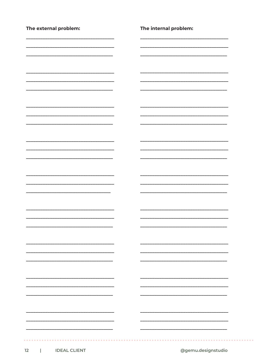| The external problem: | The internal problem: |
|-----------------------|-----------------------|
|                       |                       |
|                       |                       |
|                       |                       |
|                       |                       |
|                       |                       |
|                       |                       |
|                       |                       |
|                       |                       |
|                       |                       |
|                       |                       |
|                       |                       |
|                       |                       |
|                       |                       |
|                       |                       |
|                       |                       |
|                       |                       |
|                       |                       |
|                       |                       |
|                       |                       |
|                       |                       |
|                       |                       |
|                       |                       |
|                       |                       |
|                       |                       |
|                       |                       |
|                       |                       |
|                       |                       |

. . . . . . . . .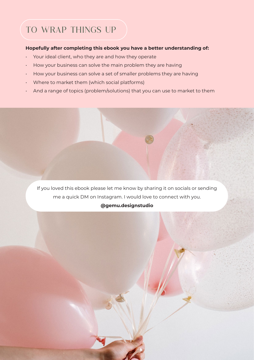# TO WRAP THINGS UP

#### **Hopefully after completing this ebook you have a better understanding of:**

- Your ideal client, who they are and how they operate
- How your business can solve the main problem they are having
- How your business can solve a set of smaller problems they are having
- Where to market them (which social platforms)
- And a range of topics (problem/solutions) that you can use to market to them

If you loved this ebook please let me know by sharing it on socials or sending me a quick DM on Instagram. I would love to connect with you.

#### **@gemu.designstudio**

**13 | IDEAL CLIENT @gemu.designstudio**